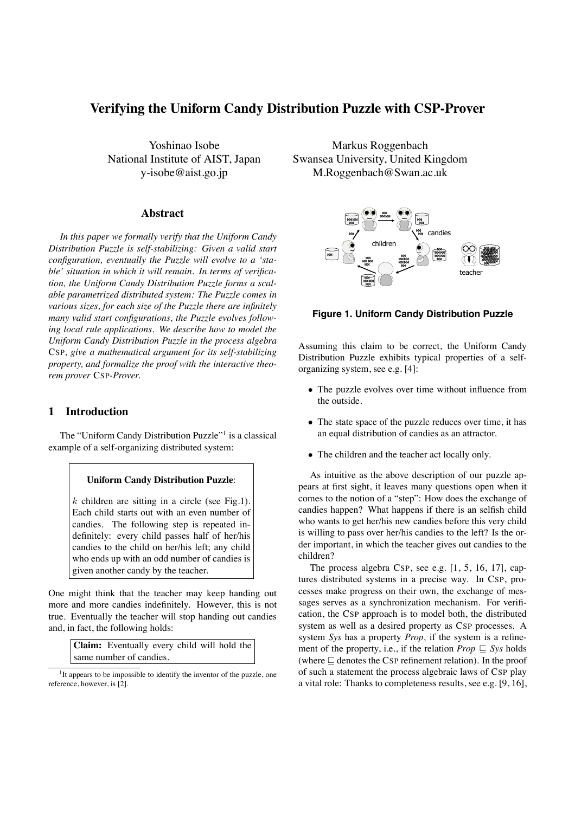# **Verifying the Uniform Candy Distribution Puzzle with CSP-Prover**

Yoshinao Isobe National Institute of AIST, Japan y-isobe@aist.go.jp

#### **Abstract**

*In this paper we formally verify that the Uniform Candy Distribution Puzzle is self-stabilizing: Given a valid start configuration, eventually the Puzzle will evolve to a 'stable' situation in which it will remain. In terms of verification, the Uniform Candy Distribution Puzzle forms a scalable parametrized distributed system: The Puzzle comes in various sizes, for each size of the Puzzle there are infinitely many valid start configurations, the Puzzle evolves following local rule applications. We describe how to model the Uniform Candy Distribution Puzzle in the process algebra* CSP*, give a mathematical argument for its self-stabilizing property, and formalize the proof with the interactive theorem prover* CSP*-Prover.*

## **1 Introduction**

The "Uniform Candy Distribution Puzzle"<sup>1</sup> is a classical example of a self-organizing distributed system:

#### **Uniform Candy Distribution Puzzle**:

 $k$  children are sitting in a circle (see Fig.1). Each child starts out with an even number of candies. The following step is repeated indefinitely: every child passes half of her/his candies to the child on her/his left; any child who ends up with an odd number of candies is given another candy by the teacher.

One might think that the teacher may keep handing out more and more candies indefinitely. However, this is not true. Eventually the teacher will stop handing out candies and, in fact, the following holds:

> **Claim:** Eventually every child will hold the same number of candies.

Markus Roggenbach Swansea University, United Kingdom M.Roggenbach@Swan.ac.uk



#### **Figure 1. Uniform Candy Distribution Puzzle**

Assuming this claim to be correct, the Uniform Candy Distribution Puzzle exhibits typical properties of a selforganizing system, see e.g. [4]:

- The puzzle evolves over time without influence from the outside.
- The state space of the puzzle reduces over time, it has an equal distribution of candies as an attractor.
- The children and the teacher act locally only.

As intuitive as the above description of our puzzle appears at first sight, it leaves many questions open when it comes to the notion of a "step": How does the exchange of candies happen? What happens if there is an selfish child who wants to get her/his new candies before this very child is willing to pass over her/his candies to the left? Is the order important, in which the teacher gives out candies to the children?

The process algebra CSP, see e.g.  $[1, 5, 16, 17]$ , captures distributed systems in a precise way. In CSP, processes make progress on their own, the exchange of messages serves as a synchronization mechanism. For verification, the CSP approach is to model both, the distributed system as well as a desired property as CSP processes. A system *Sys* has a property *Prop*, if the system is a refinement of the property, i.e., if the relation  $Prop \sqsubseteq Sys$  holds (where  $\Box$  denotes the CSP refinement relation). In the proof of such a statement the process algebraic laws of CSP play a vital role: Thanks to completeness results, see e.g. [9, 16],

 $1$ It appears to be impossible to identify the inventor of the puzzle, one reference, however, is [2].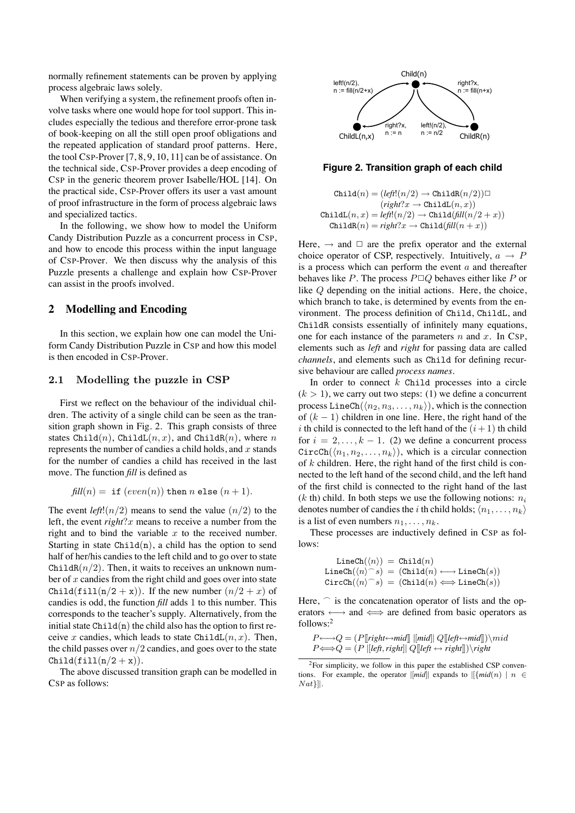normally refinement statements can be proven by applying process algebraic laws solely.

When verifying a system, the refinement proofs often involve tasks where one would hope for tool support. This includes especially the tedious and therefore error-prone task of book-keeping on all the still open proof obligations and the repeated application of standard proof patterns. Here, the tool CSP-Prover [7, 8, 9, 10, 11] can be of assistance. On the technical side, CSP-Prover provides a deep encoding of CSP in the generic theorem prover Isabelle/HOL [14]. On the practical side, CSP-Prover offers its user a vast amount of proof infrastructure in the form of process algebraic laws and specialized tactics.

In the following, we show how to model the Uniform Candy Distribution Puzzle as a concurrent process in CSP, and how to encode this process within the input language of CSP-Prover. We then discuss why the analysis of this Puzzle presents a challenge and explain how CSP-Prover can assist in the proofs involved.

## **2 Modelling and Encoding**

In this section, we explain how one can model the Uniform Candy Distribution Puzzle in CSP and how this model is then encoded in CSP-Prover.

#### 2.1 Modelling the puzzle in CSP

First we reflect on the behaviour of the individual children. The activity of a single child can be seen as the transition graph shown in Fig. 2. This graph consists of three states Child(n), ChildL(n, x), and ChildR(n), where n represents the number of candies a child holds, and  $x$  stands for the number of candies a child has received in the last move. The function *fill* is defined as

$$
fill(n) = if (even(n)) then n else (n + 1).
$$

The event *left*! $(n/2)$  means to send the value  $(n/2)$  to the left, the event *right*?x means to receive a number from the right and to bind the variable  $x$  to the received number. Starting in state  $Child(n)$ , a child has the option to send half of her/his candies to the left child and to go over to state ChildR $(n/2)$ . Then, it waits to receives an unknown number of  $x$  candies from the right child and goes over into state Child(fill(n/2 + x)). If the new number  $(n/2 + x)$  of candies is odd, the function *fill* adds 1 to this number. This corresponds to the teacher's supply. Alternatively, from the initial state  $Chi1d(n)$  the child also has the option to first receive x candies, which leads to state ChildL $(n, x)$ . Then, the child passes over  $n/2$  candies, and goes over to the state  $Child(fill(n/2 + x)).$ 

The above discussed transition graph can be modelled in CSP as follows:



#### **Figure 2. Transition graph of each child**

$$
\begin{array}{c} \texttt{Child}(n) = (left(n/2) \rightarrow \texttt{ChildR}(n/2)) \square \\ \quad \ (right?x \rightarrow \texttt{ChildL}(n,x)) \\ \texttt{ChildL}(n,x) = left!(n/2) \rightarrow \texttt{Child}(\textit{fill}(n/2+x)) \\ \texttt{ChildR}(n) = right?x \rightarrow \texttt{Child}(\textit{fill}(n+x)) \end{array}
$$

Here,  $\rightarrow$  and  $\Box$  are the prefix operator and the external choice operator of CSP, respectively. Intuitively,  $a \rightarrow P$ is a process which can perform the event  $a$  and thereafter behaves like P. The process  $P \Box Q$  behaves either like P or like Q depending on the initial actions. Here, the choice, which branch to take, is determined by events from the environment. The process definition of Child, ChildL, and ChildR consists essentially of infinitely many equations, one for each instance of the parameters  $n$  and  $x$ . In CSP, elements such as *left* and *right* for passing data are called *channels*, and elements such as Child for defining recursive behaviour are called *process names*.

In order to connect  $k$  Child processes into a circle  $(k > 1)$ , we carry out two steps: (1) we define a concurrent process LineCh( $\langle n_2, n_3, \ldots, n_k \rangle$ ), which is the connection of  $(k - 1)$  children in one line. Here, the right hand of the i th child is connected to the left hand of the  $(i + 1)$  th child for  $i = 2, \ldots, k - 1$ . (2) we define a concurrent process  $CircCh(\langle n_1, n_2,\ldots,n_k \rangle)$ , which is a circular connection of  $k$  children. Here, the right hand of the first child is connected to the left hand of the second child, and the left hand of the first child is connected to the right hand of the last  $(k \text{ th})$  child. In both steps we use the following notions:  $n_i$ denotes number of candies the *i* th child holds;  $\langle n_1, \ldots, n_k \rangle$ is a list of even numbers  $n_1, \ldots, n_k$ .

These processes are inductively defined in CSP as follows:

$$
\begin{array}{rl} \texttt{LineCh}(\langle n \rangle) \ = \ \texttt{Child}(n) \\ \texttt{LineCh}(\langle n \rangle^\frown s) \ = \ (\texttt{Child}(n) \longleftrightarrow \texttt{LineCh}(s)) \\ \texttt{CircCh}(\langle n \rangle^\frown s) \ = \ (\texttt{Child}(n) \Longleftrightarrow \texttt{LineCh}(s)) \end{array}
$$

Here,  $\cap$  is the concatenation operator of lists and the operators ←→ and ⇐⇒ are defined from basic operators as follows:2

$$
P \longleftrightarrow Q = (P[[right \leftrightarrow mid]] \ [[mid]] \ Q[[left \leftrightarrow mid]]) \rangle \land P \Longleftrightarrow Q = (P \ [[left, right]] \ Q[[left \leftrightarrow right]] \rangle \rangle \land ighd
$$

2For simplicity, we follow in this paper the established CSP conventions. For example, the operator  $\|mid$  expands to  $\|{mid}(n) \|$  n  $\in$  $Nat$ }] $\mathcal{L}$ .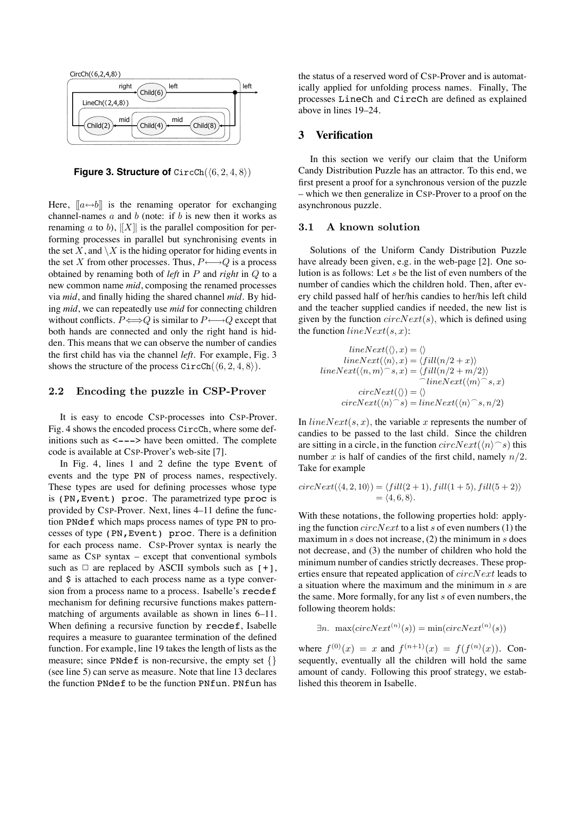

**Figure 3. Structure of**  $CircCh(\langle 6, 2, 4, 8 \rangle)$ 

Here,  $[[a \leftrightarrow b]]$  is the renaming operator for exchanging channel-names  $a$  and  $b$  (note: if  $b$  is new then it works as renaming a to b),  $||X||$  is the parallel composition for performing processes in parallel but synchronising events in the set X, and  $\setminus X$  is the hiding operator for hiding events in the set X from other processes. Thus,  $P \longleftrightarrow Q$  is a process obtained by renaming both of *left* in P and *right* in Q to a new common name *mid*, composing the renamed processes via *mid*, and finally hiding the shared channel *mid*. By hiding *mid*, we can repeatedly use *mid* for connecting children without conflicts.  $P \Longleftrightarrow Q$  is similar to  $P \longleftrightarrow Q$  except that both hands are connected and only the right hand is hidden. This means that we can observe the number of candies the first child has via the channel *left*. For example, Fig. 3 shows the structure of the process  $CircCh(\langle 6, 2, 4, 8 \rangle)$ .

#### 2.2 Encoding the puzzle in CSP-Prover

It is easy to encode CSP-processes into CSP-Prover. Fig. 4 shows the encoded process CircCh, where some definitions such as  $\leftarrow$  --> have been omitted. The complete code is available at CSP-Prover's web-site [7].

In Fig. 4, lines 1 and 2 define the type Event of events and the type PN of process names, respectively. These types are used for defining processes whose type is (PN,Event) proc. The parametrized type proc is provided by CSP-Prover. Next, lines 4–11 define the function PNdef which maps process names of type PN to processes of type (PN,Event) proc. There is a definition for each process name. CSP-Prover syntax is nearly the same as CSP syntax – except that conventional symbols such as  $\Box$  are replaced by ASCII symbols such as  $[+]$ , and \$ is attached to each process name as a type conversion from a process name to a process. Isabelle's recdef mechanism for defining recursive functions makes patternmatching of arguments available as shown in lines 6–11. When defining a recursive function by recdef, Isabelle requires a measure to guarantee termination of the defined function. For example, line 19 takes the length of lists as the measure; since PNdef is non-recursive, the empty set  $\{\}$ (see line 5) can serve as measure. Note that line 13 declares the function PNdef to be the function PNfun. PNfun has

the status of a reserved word of CSP-Prover and is automatically applied for unfolding process names. Finally, The processes LineCh and CircCh are defined as explained above in lines 19–24.

#### **3 Verification**

In this section we verify our claim that the Uniform Candy Distribution Puzzle has an attractor. To this end, we first present a proof for a synchronous version of the puzzle – which we then generalize in CSP-Prover to a proof on the asynchronous puzzle.

#### 3.1 A known solution

Solutions of the Uniform Candy Distribution Puzzle have already been given, e.g. in the web-page [2]. One solution is as follows: Let s be the list of even numbers of the number of candies which the children hold. Then, after every child passed half of her/his candies to her/his left child and the teacher supplied candies if needed, the new list is given by the function  $circNext(s)$ , which is defined using the function  $lineNext(s, x)$ :

$$
lineNext(\langle \rangle, x) = \langle \rangle
$$
  
\n
$$
lineNext(\langle n \rangle, x) = \langle fill(n/2 + x) \rangle
$$
  
\n
$$
lineNext(\langle n, m \rangle^{\frown} s, x) = \langle fill(n/2 + m/2) \rangle
$$
  
\n
$$
lineNext(\langle \rangle) = \langle \rangle
$$
  
\n
$$
circNext(\langle n \rangle^{\frown} s) = lineNext(\langle n \rangle^{\frown} s, n/2)
$$

In  $lineNext(s, x)$ , the variable x represents the number of candies to be passed to the last child. Since the children are sitting in a circle, in the function  $circNext(\langle n\rangle \cap s)$  this number x is half of candies of the first child, namely  $n/2$ . Take for example

$$
circNext(\langle 4, 2, 10 \rangle) = \langle fill(2+1), fill(1+5), fill(5+2) \rangle
$$
  
=  $\langle 4, 6, 8 \rangle$ .

With these notations, the following properties hold: applying the function  $circNext$  to a list s of even numbers (1) the maximum in s does not increase,  $(2)$  the minimum in s does not decrease, and (3) the number of children who hold the minimum number of candies strictly decreases. These properties ensure that repeated application of  $circNext$  leads to a situation where the maximum and the minimum in  $s$  are the same. More formally, for any list  $s$  of even numbers, the following theorem holds:

$$
\exists n. \ \max(circNext^{(n)}(s)) = \min(circNext^{(n)}(s))
$$

where  $f^{(0)}(x) = x$  and  $f^{(n+1)}(x) = f(f^{(n)}(x))$ . Consequently, eventually all the children will hold the same amount of candy. Following this proof strategy, we established this theorem in Isabelle.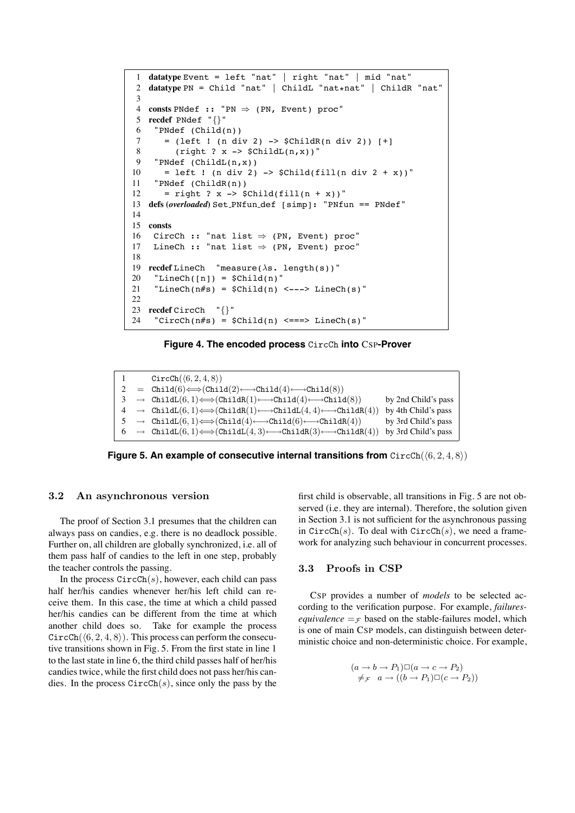```
1 datatype Event = left "nat" | right "nat" | mid "nat"
 2 datatype PN = Child "nat" | ChildL "nat*nat" | ChildR "nat"
 3
 4 consts PNdef :: "PN \Rightarrow (PN, Event) proc"<br>5 recdef PNdef "{}"
 5 recdef PNdef "{}"
     "PNdef (Child(n))7 = (left  : (n div 2) -> $ChildR(n div 2) [+]
 8 (right ? x -> $ChildL(n,x)$"
 9 "PNdef (ChildL(n,x))
10 = left ! (n div 2) -> $Child(fill(n div 2 + x))"
11 "PNdef (ChildR(n))
12 = right ? x -> \text{Schild}(fill(n + x))"
13 defs (overloaded) Set PNfun def [simp]: "PNfun == PNdef"
14
15 consts
16 CircCh :: "nat list ⇒ (PN, Event) proc"<br>17 LineCh :: "nat list ⇒ (PN, Event) proc"
     LineCh :: "nat list \Rightarrow (PN, Event) proc"
18
19 recdef LineCh "measure(\lambdas. length(s))"
20 "LineCh([n]) = $Child(n)"21 "LineCh(n#s) = $Child(n) <---> LineCh(s)"
22
23 recdef CircCh "\{\}"<br>24 "\text{CircCh(n#s)} = $
     24 "CircCh(n#s) = $Child(n) <===> LineCh(s)"
```
**Figure 4. The encoded process** CircCh **into** CSP**-Prover**

```
1 CircCh((6, 2, 4, 8))<br>2 = Child(6)\Longleftrightarrow(Chil
2 = \text{Child}(6) \Longleftrightarrow (\text{Child}(2) \longleftrightarrow \text{Child}(4) \longleftrightarrow \text{Child}(8))<br>
3 \rightarrow \text{Child}(6) \Longleftrightarrow (\text{Child}(1) \longleftrightarrow \text{Child}(4) \longleftrightarrow \text{Child}(5)3 \rightarrow \text{ChildL}(6, 1) \Longleftrightarrow (\text{ChildR}(1) \longleftrightarrow \text{Child}(4) \longleftrightarrow \text{Child}(8)) by 2nd Child's pass 4 \rightarrow \text{ChildL}(6, 1) \Longleftrightarrow (\text{ChildR}(1) \longleftrightarrow \text{ChildL}(4, 4) \longleftrightarrow \text{ChildR}(4)) by 4th Child's pass
4 → ChildL(6, 1) \Longleftrightarrow(ChildR(1) \longleftrightarrowChildL(4, 4) \longleftrightarrowChildR(4)) by 4th Child's pass<br>5 → ChildL(6, 1) \Longleftrightarrow(Child(4) \longleftrightarrowChild(6) \longleftrightarrowChildR(4)) by 3rd Child's pass
 5 \rightarrow \text{Child}(6, 1) \Longleftrightarrow (\text{Child}(4) \longleftarrow \text{Child}(6) \longleftarrow \text{Child}(4))<br>
6 \rightarrow \text{Child}(6, 1) \Longleftrightarrow (\text{Child}(4, 3) \longleftarrow \text{Child}(3) \longleftarrow \text{Child}(5)\rightarrow ChildL(6, 1) \Longleftrightarrow(ChildL(4, 3) \longleftrightarrowChildR(3) \longleftrightarrowChildR(4)) by 3rd Child's pass
```
**Figure 5. An example of consecutive internal transitions from**  $CircCh(\langle 6, 2, 4, 8 \rangle)$ 

#### 3.2 An asynchronous version

The proof of Section 3.1 presumes that the children can always pass on candies, e.g. there is no deadlock possible. Further on, all children are globally synchronized, i.e. all of them pass half of candies to the left in one step, probably the teacher controls the passing.

In the process  $CircCh(s)$ , however, each child can pass half her/his candies whenever her/his left child can receive them. In this case, the time at which a child passed her/his candies can be different from the time at which another child does so. Take for example the process  $CircCh(\langle 6, 2, 4, 8 \rangle)$ . This process can perform the consecutive transitions shown in Fig. 5. From the first state in line 1 to the last state in line 6, the third child passes half of her/his candies twice, while the first child does not pass her/his candies. In the process  $CircCh(s)$ , since only the pass by the first child is observable, all transitions in Fig. 5 are not observed (i.e. they are internal). Therefore, the solution given in Section 3.1 is not sufficient for the asynchronous passing in  $CircCh(s)$ . To deal with  $CircCh(s)$ , we need a framework for analyzing such behaviour in concurrent processes.

## 3.3 Proofs in CSP

CSP provides a number of *models* to be selected according to the verification purpose. For example, *failuresequivalence*  $=$   $\epsilon$  based on the stable-failures model, which is one of main CSP models, can distinguish between deterministic choice and non-deterministic choice. For example,

$$
(a \to b \to P_1) \square (a \to c \to P_2)
$$
  

$$
\neq_{\mathcal{F}} a \to ((b \to P_1) \square (c \to P_2))
$$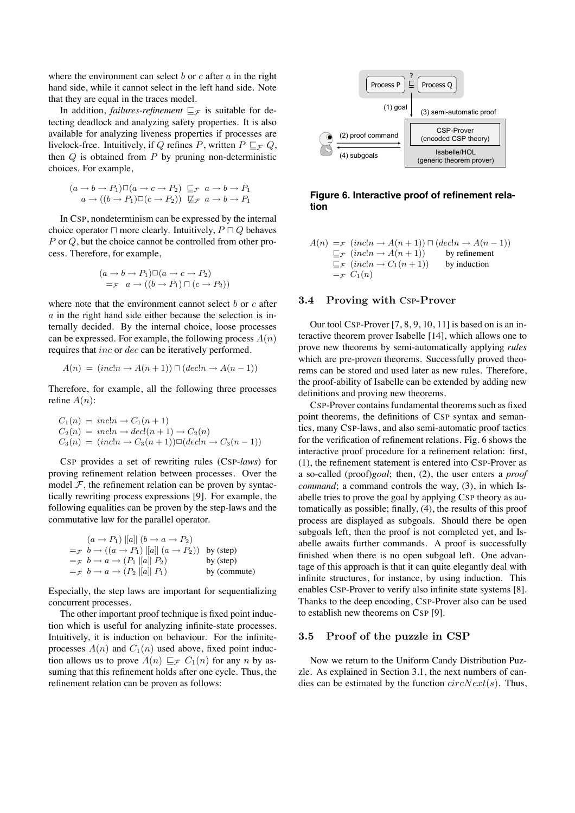where the environment can select  $b$  or  $c$  after  $a$  in the right hand side, while it cannot select in the left hand side. Note that they are equal in the traces model.

In addition, *failures-refinement*  $E_F$  is suitable for detecting deadlock and analyzing safety properties. It is also available for analyzing liveness properties if processes are livelock-free. Intuitively, if Q refines P, written  $P \sqsubseteq_{\mathcal{F}} Q$ , then  $Q$  is obtained from  $P$  by pruning non-deterministic choices. For example,

$$
(a \to b \to P_1) \square (a \to c \to P_2) \sqsubseteq_{\mathcal{F}} a \to b \to P_1
$$
  

$$
a \to ((b \to P_1) \square (c \to P_2)) \sqsubseteq_{\mathcal{F}} a \to b \to P_1
$$

In CSP, nondeterminism can be expressed by the internal choice operator  $\Box$  more clearly. Intuitively,  $P \Box Q$  behaves P or Q, but the choice cannot be controlled from other process. Therefore, for example,

$$
(a \to b \to P_1) \square (a \to c \to P_2)
$$
  
= $\tau$   $a \to ((b \to P_1) \sqcap (c \to P_2))$ 

where note that the environment cannot select  $b$  or  $c$  after  $a$  in the right hand side either because the selection is internally decided. By the internal choice, loose processes can be expressed. For example, the following process  $A(n)$ requires that inc or dec can be iteratively performed.

$$
A(n) = (incln \rightarrow A(n+1)) \sqcap (dec!n \rightarrow A(n-1))
$$

Therefore, for example, all the following three processes refine  $A(n)$ :

$$
C_1(n) = inc!n \rightarrow C_1(n+1)
$$
  
\n
$$
C_2(n) = inc!n \rightarrow dec!(n+1) \rightarrow C_2(n)
$$
  
\n
$$
C_3(n) = (inc!n \rightarrow C_3(n+1)) \square (dec!n \rightarrow C_3(n-1))
$$

CSP provides a set of rewriting rules (CSP-*laws*) for proving refinement relation between processes. Over the model  $F$ , the refinement relation can be proven by syntactically rewriting process expressions [9]. For example, the following equalities can be proven by the step-laws and the commutative law for the parallel operator.

$$
(a \rightarrow P_1) ||a|| (b \rightarrow a \rightarrow P_2)
$$
  
= $\pi$   $b \rightarrow ((a \rightarrow P_1) ||a|| (a \rightarrow P_2))$  by (step)  
= $\pi$   $b \rightarrow a \rightarrow (P_1 ||a|| P_2)$  by (step)  
= $\pi$   $b \rightarrow a \rightarrow (P_2 ||a|| P_1)$  by (commute)

Especially, the step laws are important for sequentializing concurrent processes.

The other important proof technique is fixed point induction which is useful for analyzing infinite-state processes. Intuitively, it is induction on behaviour. For the infiniteprocesses  $A(n)$  and  $C_1(n)$  used above, fixed point induction allows us to prove  $A(n) \sqsubset_{\mathcal{F}} C_1(n)$  for any n by assuming that this refinement holds after one cycle. Thus, the refinement relation can be proven as follows:



**Figure 6. Interactive proof of refinement relation**

$$
A(n) =_{\mathcal{F}} (incln \to A(n+1)) \cap (dec!n \to A(n-1))
$$
  
\n
$$
\sqsubseteq_{\mathcal{F}} (incln \to A(n+1))
$$
 by refinement  
\n
$$
\sqsubseteq_{\mathcal{F}} (incln \to C_1(n+1))
$$
 by induction  
\n
$$
=_{\mathcal{F}} C_1(n)
$$

#### 3.4 Proving with CSP-Prover

Our tool CSP-Prover [7, 8, 9, 10, 11] is based on is an interactive theorem prover Isabelle [14], which allows one to prove new theorems by semi-automatically applying *rules* which are pre-proven theorems. Successfully proved theorems can be stored and used later as new rules. Therefore, the proof-ability of Isabelle can be extended by adding new definitions and proving new theorems.

CSP-Prover contains fundamental theorems such as fixed point theorems, the definitions of CSP syntax and semantics, many CSP-laws, and also semi-automatic proof tactics for the verification of refinement relations. Fig. 6 shows the interactive proof procedure for a refinement relation: first, (1), the refinement statement is entered into CSP-Prover as a so-called (proof)*goal*; then, (2), the user enters a *proof command*; a command controls the way, (3), in which Isabelle tries to prove the goal by applying CSP theory as automatically as possible; finally, (4), the results of this proof process are displayed as subgoals. Should there be open subgoals left, then the proof is not completed yet, and Isabelle awaits further commands. A proof is successfully finished when there is no open subgoal left. One advantage of this approach is that it can quite elegantly deal with infinite structures, for instance, by using induction. This enables CSP-Prover to verify also infinite state systems [8]. Thanks to the deep encoding, CSP-Prover also can be used to establish new theorems on CSP [9].

#### 3.5 Proof of the puzzle in CSP

Now we return to the Uniform Candy Distribution Puzzle. As explained in Section 3.1, the next numbers of candies can be estimated by the function  $circNext(s)$ . Thus,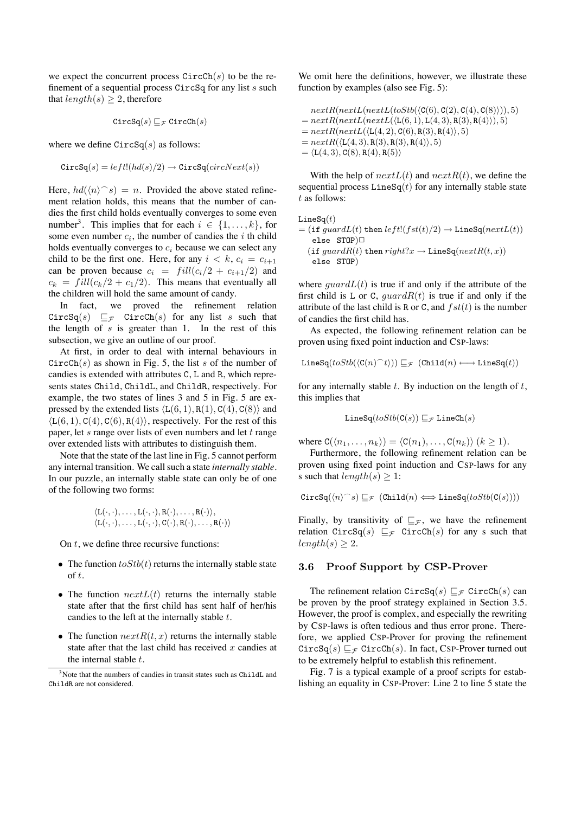we expect the concurrent process  $CircCh(s)$  to be the refinement of a sequential process  $CircSq$  for any list s such that  $length(s) \geq 2$ , therefore

$$
\texttt{CircSq}(s) \sqsubseteq_{\mathcal{F}} \texttt{CircCh}(s)
$$

where we define  $CircSq(s)$  as follows:

$$
\texttt{CircSq}(s) = left!(hd(s)/2) \rightarrow \texttt{CircSq}(circNext(s))
$$

Here,  $hd(\langle n\rangle^s) = n$ . Provided the above stated refinement relation holds, this means that the number of candies the first child holds eventually converges to some even number<sup>3</sup>. This implies that for each  $i \in \{1, \ldots, k\}$ , for some even number  $c_i$ , the number of candies the i th child holds eventually converges to  $c_i$  because we can select any child to be the first one. Here, for any  $i < k$ ,  $c_i = c_{i+1}$ can be proven because  $c_i = fill(c_i/2 + c_{i+1}/2)$  and  $c_k = \frac{full(c_k/2 + c_1/2)}{I}$ . This means that eventually all the children will hold the same amount of candy.

In fact, we proved the refinement relation  $CircSq(s) \sqsubseteq_{\mathcal{F}}$   $CircCh(s)$  for any list s such that the length of  $s$  is greater than 1. In the rest of this subsection, we give an outline of our proof.

At first, in order to deal with internal behaviours in  $CircCh(s)$  as shown in Fig. 5, the list s of the number of candies is extended with attributes C, L and R, which represents states Child, ChildL, and ChildR, respectively. For example, the two states of lines 3 and 5 in Fig. 5 are expressed by the extended lists  $\langle L(6, 1), R(1), C(4), C(8) \rangle$  and  $\langle L(6, 1), C(4), C(6), R(4) \rangle$ , respectively. For the rest of this paper, let  $s$  range over lists of even numbers and let  $t$  range over extended lists with attributes to distinguish them.

Note that the state of the last line in Fig. 5 cannot perform any internal transition. We call such a state *internally stable*. In our puzzle, an internally stable state can only be of one of the following two forms:

$$
\langle L(\cdot,\cdot),\ldots,L(\cdot,\cdot),R(\cdot),\ldots,R(\cdot)\rangle,\\ \langle L(\cdot,\cdot),\ldots,L(\cdot,\cdot),C(\cdot),R(\cdot),\ldots,R(\cdot)\rangle
$$

On  $t$ , we define three recursive functions:

- The function  $to Stb(t)$  returns the internally stable state of t.
- The function  $nextL(t)$  returns the internally stable state after that the first child has sent half of her/his candies to the left at the internally stable  $t$ .
- The function  $nextR(t, x)$  returns the internally stable state after that the last child has received  $x$  candies at the internal stable  $t$ .

We omit here the definitions, however, we illustrate these function by examples (also see Fig. 5):

 $nextR(nextL(nextL(toStb( $\langle C(6), C(2), C(4), C(8) \rangle)), 5)$$  $= nextR(nextL(nextL(\langle \texttt{L}(\texttt{6}, \texttt{1}), \texttt{L}(\texttt{4}, \texttt{3}), \texttt{R}(\texttt{3}), \texttt{R}(\texttt{4}) \rangle), 5)$  $= nextR(nextL(\langle L(4, 2), C(6), R(3), R(4) \rangle, 5)$  $= nextR(\langle L(4, 3), R(3), R(3), R(4) \rangle, 5)$  $= \langle L(4, 3), C(8), R(4), R(5) \rangle$ 

With the help of  $nextL(t)$  and  $nextR(t)$ , we define the sequential process  $\text{LineSq}(t)$  for any internally stable state t as follows:

$$
\begin{aligned} &\texttt{LineSq}(t) \\&= (\texttt{if } guardL(t) \texttt{ then } left!(fst(t)/2) \rightarrow \texttt{LineSq}(nextL(t)) \\ &\texttt{else } \texttt{STOP} ) \square \\ & (\texttt{if } guardR(t) \texttt{ then } right?x \rightarrow \texttt{LineSq}(nextR(t,x)) \\ &\texttt{else } \texttt{STOP}) \end{aligned}
$$

where  $quardL(t)$  is true if and only if the attribute of the first child is L or C,  $guardR(t)$  is true if and only if the attribute of the last child is R or C, and  $fst(t)$  is the number of candies the first child has.

As expected, the following refinement relation can be proven using fixed point induction and CSP-laws:

$$
\mathtt{LineSq}(toStb(\langle \mathtt{C}(n) {^\frown} t \rangle)) \sqsubseteq_{\mathcal{F}} (\mathtt{Child}(n) \longleftrightarrow \mathtt{LineSq}(t))
$$

for any internally stable  $t$ . By induction on the length of  $t$ , this implies that

$$
\mathtt{LineSq}(toStb(\mathtt{C}(s)) \sqsubseteq_{\mathcal{F}} \mathtt{LineCh}(s)
$$

where  $C(\langle n_1,\ldots,n_k\rangle) = \langle C(n_1),\ldots,C(n_k)\rangle$   $(k > 1)$ .

Furthermore, the following refinement relation can be proven using fixed point induction and CSP-laws for any s such that  $length(s) \geq 1$ :

$$
\mathtt{CircSq}(\langle n\rangle^{\frown} s)\sqsubseteq_{\mathcal{F}} (\mathtt{Child}(n)\Longleftrightarrow \mathtt{LineSq}(\mathit{toStb}(\mathtt{C}(s))))
$$

Finally, by transitivity of  $\sqsubseteq_{\mathcal{F}}$ , we have the refinement relation CircSq(s)  $\sqsubseteq_{\mathcal{F}}$  CircCh(s) for any s such that  $length(s) \geq 2$ .

#### 3.6 Proof Support by CSP-Prover

The refinement relation CircSq(s)  $\sqsubseteq_{\mathcal{F}}$  CircCh(s) can be proven by the proof strategy explained in Section 3.5. However, the proof is complex, and especially the rewriting by CSP-laws is often tedious and thus error prone. Therefore, we applied CSP-Prover for proving the refinement  $CircSq(s) \sqsubseteq_{\mathcal{F}} CircCh(s)$ . In fact, CSP-Prover turned out to be extremely helpful to establish this refinement.

Fig. 7 is a typical example of a proof scripts for establishing an equality in CSP-Prover: Line 2 to line 5 state the

<sup>3</sup>Note that the numbers of candies in transit states such as ChildL and ChildR are not considered.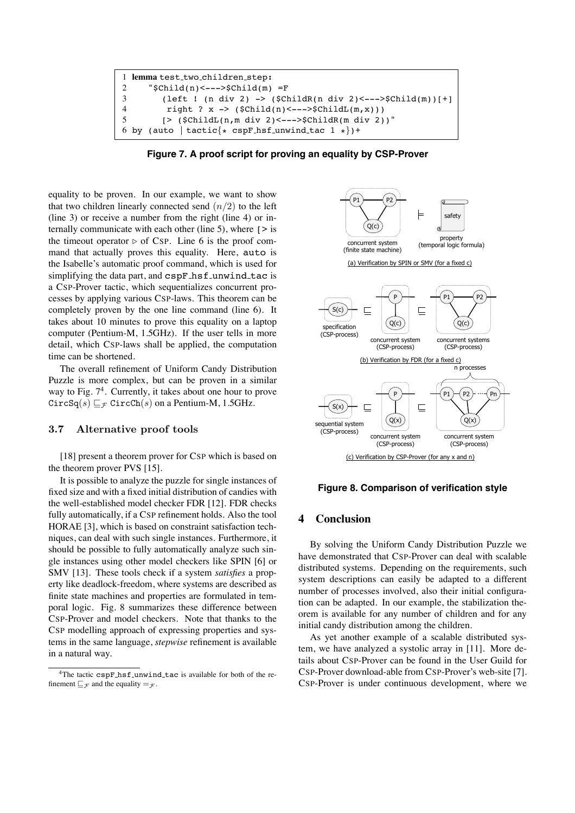

**Figure 7. A proof script for proving an equality by CSP-Prover**

equality to be proven. In our example, we want to show that two children linearly connected send  $(n/2)$  to the left (line 3) or receive a number from the right (line 4) or internally communicate with each other (line 5), where  $\lceil \rangle$  is the timeout operator  $\triangleright$  of CSP. Line 6 is the proof command that actually proves this equality. Here, auto is the Isabelle's automatic proof command, which is used for simplifying the data part, and cspF\_hsf\_unwind\_tac is a CSP-Prover tactic, which sequentializes concurrent processes by applying various CSP-laws. This theorem can be completely proven by the one line command (line 6). It takes about 10 minutes to prove this equality on a laptop computer (Pentium-M, 1.5GHz). If the user tells in more detail, which CSP-laws shall be applied, the computation time can be shortened.

The overall refinement of Uniform Candy Distribution Puzzle is more complex, but can be proven in a similar way to Fig.  $7<sup>4</sup>$ . Currently, it takes about one hour to prove  $CircSq(s) \sqsubset_{\mathcal{F}} CircCh(s)$  on a Pentium-M, 1.5GHz.

## 3.7 Alternative proof tools

[18] present a theorem prover for CSP which is based on the theorem prover PVS [15].

It is possible to analyze the puzzle for single instances of fixed size and with a fixed initial distribution of candies with the well-established model checker FDR [12]. FDR checks fully automatically, if a CSP refinement holds. Also the tool HORAE [3], which is based on constraint satisfaction techniques, can deal with such single instances. Furthermore, it should be possible to fully automatically analyze such single instances using other model checkers like SPIN [6] or SMV [13]. These tools check if a system *satisfies* a property like deadlock-freedom, where systems are described as finite state machines and properties are formulated in temporal logic. Fig. 8 summarizes these difference between CSP-Prover and model checkers. Note that thanks to the CSP modelling approach of expressing properties and systems in the same language, *stepwise* refinement is available in a natural way.



#### **Figure 8. Comparison of verification style**

## **4 Conclusion**

By solving the Uniform Candy Distribution Puzzle we have demonstrated that CSP-Prover can deal with scalable distributed systems. Depending on the requirements, such system descriptions can easily be adapted to a different number of processes involved, also their initial configuration can be adapted. In our example, the stabilization theorem is available for any number of children and for any initial candy distribution among the children.

As yet another example of a scalable distributed system, we have analyzed a systolic array in [11]. More details about CSP-Prover can be found in the User Guild for CSP-Prover download-able from CSP-Prover's web-site [7]. CSP-Prover is under continuous development, where we

<sup>&</sup>lt;sup>4</sup>The tactic cspF\_hsf\_unwind\_tac is available for both of the refinement  $\Box$   $\mathcal{F}$  and the equality  $=\mathcal{F}$ .